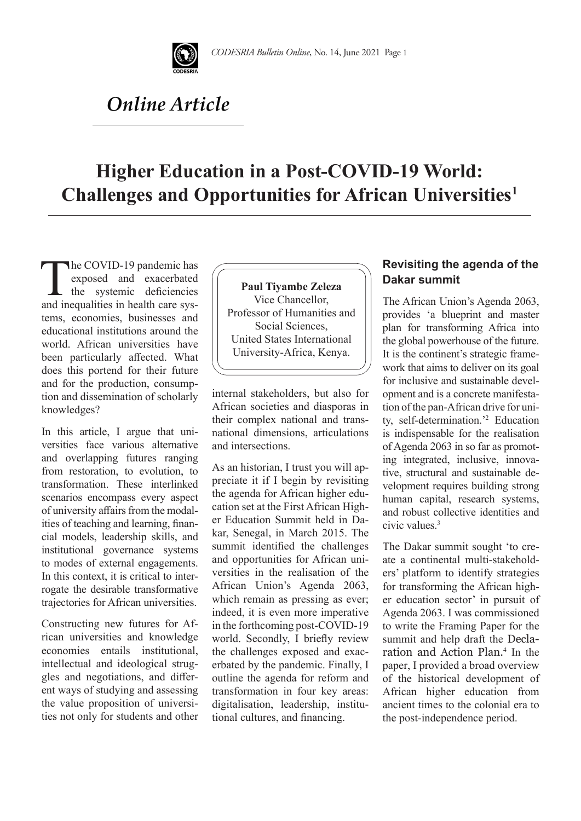

# *Online Article*

# **Higher Education in a Post-COVID-19 World: Challenges and Opportunities for African Universities1**

The COVID-19 pandemic has<br>exposed and exacerbated<br>the systemic deficiencies<br>and inequalities in health care sysexposed and exacerbated the systemic deficiencies and inequalities in health care systems, economies, businesses and educational institutions around the world. African universities have been particularly affected. What does this portend for their future and for the production, consumption and dissemination of scholarly knowledges?

In this article, I argue that universities face various alternative and overlapping futures ranging from restoration, to evolution, to transformation. These interlinked scenarios encompass every aspect of university affairs from the modalities of teaching and learning, financial models, leadership skills, and institutional governance systems to modes of external engagements. In this context, it is critical to interrogate the desirable transformative trajectories for African universities.

Constructing new futures for African universities and knowledge economies entails institutional, intellectual and ideological struggles and negotiations, and different ways of studying and assessing the value proposition of universities not only for students and other

**Paul Tiyambe Zeleza**  Vice Chancellor, Professor of Humanities and Social Sciences, United States International University-Africa, Kenya.

internal stakeholders, but also for African societies and diasporas in their complex national and transnational dimensions, articulations and intersections.

As an historian, I trust you will appreciate it if I begin by revisiting the agenda for African higher education set at the First African Higher Education Summit held in Dakar, Senegal, in March 2015. The summit identified the challenges and opportunities for African universities in the realisation of the African Union's Agenda 2063, which remain as pressing as ever; indeed, it is even more imperative in the forthcoming post-COVID-19 world. Secondly, I briefly review the challenges exposed and exacerbated by the pandemic. Finally, I outline the agenda for reform and transformation in four key areas: digitalisation, leadership, institutional cultures, and financing.

### **Revisiting the agenda of the Dakar summit**

The African Union's Agenda 2063, provides 'a blueprint and master plan for transforming Africa into the global powerhouse of the future. It is the continent's strategic framework that aims to deliver on its goal for inclusive and sustainable development and is a concrete manifestation of the pan-African drive for unity, self-determination.'2 Education is indispensable for the realisation of Agenda 2063 in so far as promoting integrated, inclusive, innovative, structural and sustainable development requires building strong human capital, research systems, and robust collective identities and civic values.3

The Dakar summit sought 'to create a continental multi-stakeholders' platform to identify strategies for transforming the African higher education sector' in pursuit of Agenda 2063. I was commissioned to write the Framing Paper for the summit and help draft the Declaration and Action Plan*.* <sup>4</sup> In the paper, I provided a broad overview of the historical development of African higher education from ancient times to the colonial era to the post-independence period.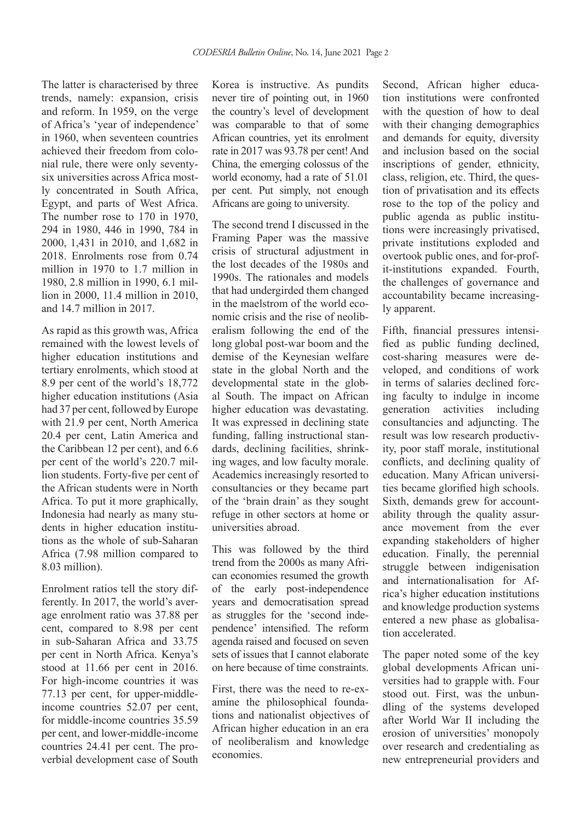The latter is characterised by three trends, namely: expansion, crisis and reform. In 1959, on the verge of Africa's 'year of independence' in 1960, when seventeen countries achieved their freedom from colonial rule, there were only seventysix universities across Africa mostly concentrated in South Africa, Egypt, and parts of West Africa. The number rose to 170 in 1970, 294 in 1980, 446 in 1990, 784 in 2000, 1,431 in 2010, and 1,682 in 2018. Enrolments rose from 0.74 million in 1970 to 1.7 million in 1980, 2.8 million in 1990, 6.1 million in 2000, 11.4 million in 2010, and 14.7 million in 2017.

As rapid as this growth was, Africa remained with the lowest levels of higher education institutions and tertiary enrolments, which stood at 8.9 per cent of the world's 18,772 higher education institutions (Asia had 37 per cent, followed by Europe with 21.9 per cent, North America 20.4 per cent, Latin America and the Caribbean 12 per cent), and 6.6 per cent of the world's 220.7 million students. Forty-five per cent of the African students were in North Africa. To put it more graphically, Indonesia had nearly as many students in higher education institutions as the whole of sub-Saharan Africa (7.98 million compared to 8.03 million).

Enrolment ratios tell the story differently. In 2017, the world's average enrolment ratio was 37.88 per cent, compared to 8.98 per cent in sub-Saharan Africa and 33.75 per cent in North Africa. Kenya's stood at 11.66 per cent in 2016. For high-income countries it was 77.13 per cent, for upper-middleincome countries 52.07 per cent, for middle-income countries 35.59 per cent, and lower-middle-income countries 24.41 per cent. The proverbial development case of South

Korea is instructive. As pundits never tire of pointing out, in 1960 the country's level of development was comparable to that of some African countries, yet its enrolment rate in 2017 was 93.78 per cent! And China, the emerging colossus of the world economy, had a rate of 51.01 per cent. Put simply, not enough Africans are going to university.

The second trend I discussed in the Framing Paper was the massive crisis of structural adjustment in the lost decades of the 1980s and 1990s. The rationales and models that had undergirded them changed in the maelstrom of the world economic crisis and the rise of neoliberalism following the end of the long global post-war boom and the demise of the Keynesian welfare state in the global North and the developmental state in the global South. The impact on African higher education was devastating. It was expressed in declining state funding, falling instructional standards, declining facilities, shrinking wages, and low faculty morale. Academics increasingly resorted to consultancies or they became part of the 'brain drain' as they sought refuge in other sectors at home or universities abroad.

This was followed by the third trend from the 2000s as many African economies resumed the growth of the early post-independence years and democratisation spread as struggles for the 'second independence' intensified. The reform agenda raised and focused on seven sets of issues that I cannot elaborate on here because of time constraints.

First, there was the need to re-examine the philosophical foundations and nationalist objectives of African higher education in an era of neoliberalism and knowledge economies.

Second, African higher education institutions were confronted with the question of how to deal with their changing demographics and demands for equity, diversity and inclusion based on the social inscriptions of gender, ethnicity, class, religion, etc. Third, the question of privatisation and its effects rose to the top of the policy and public agenda as public institutions were increasingly privatised, private institutions exploded and overtook public ones, and for-profit-institutions expanded. Fourth, the challenges of governance and accountability became increasingly apparent.

Fifth, financial pressures intensified as public funding declined, cost-sharing measures were developed, and conditions of work in terms of salaries declined forcing faculty to indulge in income generation activities including consultancies and adjuncting. The result was low research productivity, poor staff morale, institutional conflicts, and declining quality of education. Many African universities became glorified high schools. Sixth, demands grew for accountability through the quality assurance movement from the ever expanding stakeholders of higher education. Finally, the perennial struggle between indigenisation and internationalisation for Africa's higher education institutions and knowledge production systems entered a new phase as globalisation accelerated.

The paper noted some of the key global developments African universities had to grapple with. Four stood out. First, was the unbundling of the systems developed after World War II including the erosion of universities' monopoly over research and credentialing as new entrepreneurial providers and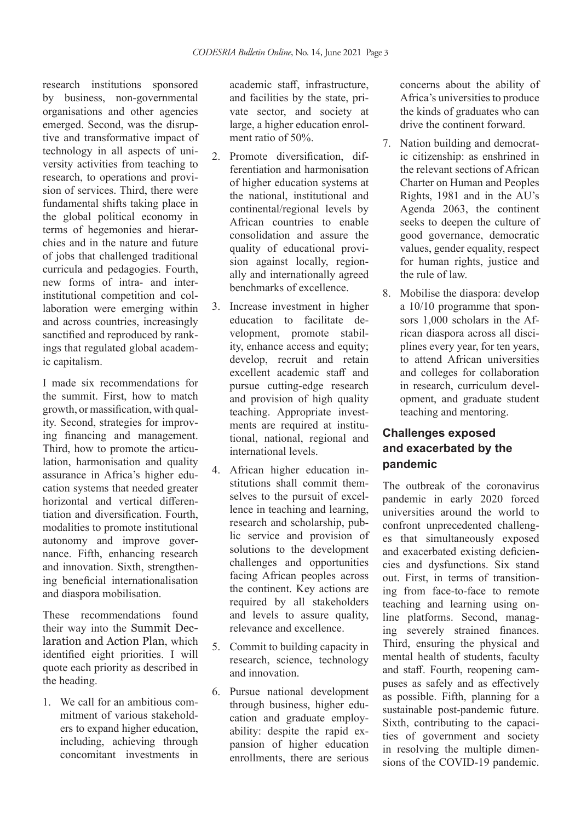research institutions sponsored by business, non-governmental organisations and other agencies emerged. Second, was the disruptive and transformative impact of technology in all aspects of university activities from teaching to research, to operations and provision of services. Third, there were fundamental shifts taking place in the global political economy in terms of hegemonies and hierarchies and in the nature and future of jobs that challenged traditional curricula and pedagogies. Fourth, new forms of intra- and interinstitutional competition and collaboration were emerging within and across countries, increasingly sanctified and reproduced by rankings that regulated global academic capitalism.

I made six recommendations for the summit. First, how to match growth, or massification, with quality. Second, strategies for improving financing and management. Third, how to promote the articulation, harmonisation and quality assurance in Africa's higher education systems that needed greater horizontal and vertical differentiation and diversification. Fourth, modalities to promote institutional autonomy and improve governance. Fifth, enhancing research and innovation. Sixth, strengthening beneficial internationalisation and diaspora mobilisation.

These recommendations found their way into the Summit Declaration and Action Plan, which identified eight priorities. I will quote each priority as described in the heading.

1. We call for an ambitious commitment of various stakeholders to expand higher education, including, achieving through concomitant investments in academic staff, infrastructure, and facilities by the state, private sector, and society at large, a higher education enrolment ratio of 50%.

- 2. Promote diversification, differentiation and harmonisation of higher education systems at the national, institutional and continental/regional levels by African countries to enable consolidation and assure the quality of educational provision against locally, regionally and internationally agreed benchmarks of excellence.
- 3. Increase investment in higher education to facilitate development, promote stability, enhance access and equity; develop, recruit and retain excellent academic staff and pursue cutting-edge research and provision of high quality teaching. Appropriate investments are required at institutional, national, regional and international levels.
- 4. African higher education institutions shall commit themselves to the pursuit of excellence in teaching and learning, research and scholarship, public service and provision of solutions to the development challenges and opportunities facing African peoples across the continent. Key actions are required by all stakeholders and levels to assure quality, relevance and excellence.
- 5. Commit to building capacity in research, science, technology and innovation.
- 6. Pursue national development through business, higher education and graduate employability: despite the rapid expansion of higher education enrollments, there are serious

concerns about the ability of Africa's universities to produce the kinds of graduates who can drive the continent forward.

- 7. Nation building and democratic citizenship: as enshrined in the relevant sections of African Charter on Human and Peoples Rights, 1981 and in the AU's Agenda 2063, the continent seeks to deepen the culture of good governance, democratic values, gender equality, respect for human rights, justice and the rule of law.
- 8. Mobilise the diaspora: develop a 10/10 programme that sponsors 1,000 scholars in the African diaspora across all disciplines every year, for ten years, to attend African universities and colleges for collaboration in research, curriculum development, and graduate student teaching and mentoring.

## **Challenges exposed and exacerbated by the pandemic**

The outbreak of the coronavirus pandemic in early 2020 forced universities around the world to confront unprecedented challenges that simultaneously exposed and exacerbated existing deficiencies and dysfunctions. Six stand out. First, in terms of transitioning from face-to-face to remote teaching and learning using online platforms. Second, managing severely strained finances. Third, ensuring the physical and mental health of students, faculty and staff. Fourth, reopening campuses as safely and as effectively as possible. Fifth, planning for a sustainable post-pandemic future. Sixth, contributing to the capacities of government and society in resolving the multiple dimensions of the COVID-19 pandemic.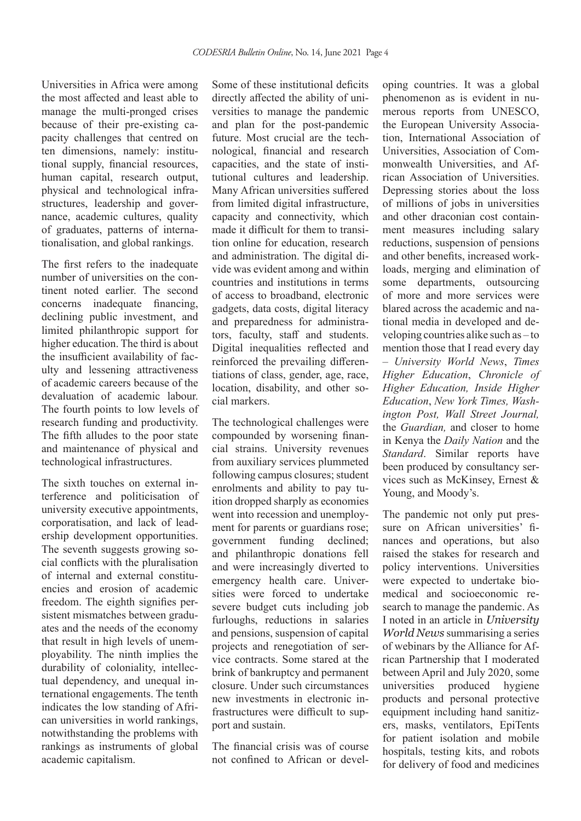Universities in Africa were among the most affected and least able to manage the multi-pronged crises because of their pre-existing capacity challenges that centred on ten dimensions, namely: institutional supply, financial resources, human capital, research output, physical and technological infrastructures, leadership and governance, academic cultures, quality of graduates, patterns of internationalisation, and global rankings.

The first refers to the inadequate number of universities on the continent noted earlier. The second concerns inadequate financing, declining public investment, and limited philanthropic support for higher education. The third is about the insufficient availability of faculty and lessening attractiveness of academic careers because of the devaluation of academic labour. The fourth points to low levels of research funding and productivity. The fifth alludes to the poor state and maintenance of physical and technological infrastructures.

The sixth touches on external interference and politicisation of university executive appointments, corporatisation, and lack of leadership development opportunities. The seventh suggests growing social conflicts with the pluralisation of internal and external constituencies and erosion of academic freedom. The eighth signifies persistent mismatches between graduates and the needs of the economy that result in high levels of unemployability. The ninth implies the durability of coloniality, intellectual dependency, and unequal international engagements. The tenth indicates the low standing of African universities in world rankings, notwithstanding the problems with rankings as instruments of global academic capitalism.

Some of these institutional deficits directly affected the ability of universities to manage the pandemic and plan for the post-pandemic future. Most crucial are the technological, financial and research capacities, and the state of institutional cultures and leadership. Many African universities suffered from limited digital infrastructure, capacity and connectivity, which made it difficult for them to transition online for education, research and administration. The digital divide was evident among and within countries and institutions in terms of access to broadband, electronic gadgets, data costs, digital literacy and preparedness for administrators, faculty, staff and students. Digital inequalities reflected and reinforced the prevailing differentiations of class, gender, age, race, location, disability, and other social markers.

The technological challenges were compounded by worsening financial strains. University revenues from auxiliary services plummeted following campus closures; student enrolments and ability to pay tuition dropped sharply as economies went into recession and unemployment for parents or guardians rose; government funding declined; and philanthropic donations fell and were increasingly diverted to emergency health care. Universities were forced to undertake severe budget cuts including job furloughs, reductions in salaries and pensions, suspension of capital projects and renegotiation of service contracts. Some stared at the brink of bankruptcy and permanent closure. Under such circumstances new investments in electronic infrastructures were difficult to support and sustain.

The financial crisis was of course not confined to African or developing countries. It was a global phenomenon as is evident in numerous reports from UNESCO, the European University Association, International Association of Universities, Association of Commonwealth Universities, and African Association of Universities. Depressing stories about the loss of millions of jobs in universities and other draconian cost containment measures including salary reductions, suspension of pensions and other benefits, increased workloads, merging and elimination of some departments, outsourcing of more and more services were blared across the academic and national media in developed and developing countries alike such as – to mention those that I read every day – *University World News*, *Times Higher Education*, *Chronicle of Higher Education, Inside Higher Education*, *New York Times, Washington Post, Wall Street Journal,*  the *Guardian,* and closer to home in Kenya the *Daily Nation* and the *Standard*. Similar reports have been produced by consultancy services such as McKinsey, Ernest & Young, and Moody's.

The pandemic not only put pressure on African universities' finances and operations, but also raised the stakes for research and policy interventions. Universities were expected to undertake biomedical and socioeconomic research to manage the pandemic. As I noted in an article in *University World News* summarising a series of webinars by the Alliance for African Partnership that I moderated between April and July 2020, some universities produced hygiene products and personal protective equipment including hand sanitizers, masks, ventilators, EpiTents for patient isolation and mobile hospitals, testing kits, and robots for delivery of food and medicines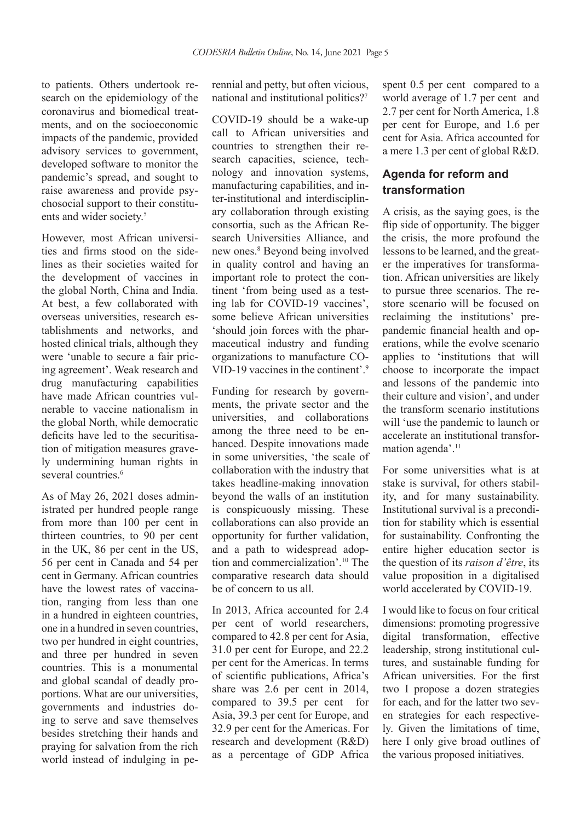to patients. Others undertook research on the epidemiology of the coronavirus and biomedical treatments, and on the socioeconomic impacts of the pandemic, provided advisory services to government, developed software to monitor the pandemic's spread, and sought to raise awareness and provide psychosocial support to their constituents and wider society.<sup>5</sup>

However, most African universities and firms stood on the sidelines as their societies waited for the development of vaccines in the global North, China and India. At best, a few collaborated with overseas universities, research establishments and networks, and hosted clinical trials, although they were 'unable to secure a fair pricing agreement'. Weak research and drug manufacturing capabilities have made African countries vulnerable to vaccine nationalism in the global North, while democratic deficits have led to the securitisation of mitigation measures gravely undermining human rights in several countries.<sup>6</sup>

As of May 26, 2021 doses administrated per hundred people range from more than 100 per cent in thirteen countries, to 90 per cent in the UK, 86 per cent in the US, 56 per cent in Canada and 54 per cent in Germany. African countries have the lowest rates of vaccination, ranging from less than one in a hundred in eighteen countries, one in a hundred in seven countries, two per hundred in eight countries, and three per hundred in seven countries. This is a monumental and global scandal of deadly proportions. What are our universities, governments and industries doing to serve and save themselves besides stretching their hands and praying for salvation from the rich world instead of indulging in perennial and petty, but often vicious, national and institutional politics?7

COVID-19 should be a wake-up call to African universities and countries to strengthen their research capacities, science, technology and innovation systems, manufacturing capabilities, and inter-institutional and interdisciplinary collaboration through existing consortia, such as the African Research Universities Alliance, and new ones.8 Beyond being involved in quality control and having an important role to protect the continent 'from being used as a testing lab for COVID-19 vaccines', some believe African universities 'should join forces with the pharmaceutical industry and funding organizations to manufacture CO-VID-19 vaccines in the continent'.9

Funding for research by governments, the private sector and the universities, and collaborations among the three need to be enhanced. Despite innovations made in some universities, 'the scale of collaboration with the industry that takes headline-making innovation beyond the walls of an institution is conspicuously missing. These collaborations can also provide an opportunity for further validation, and a path to widespread adoption and commercialization'.10 The comparative research data should be of concern to us all.

In 2013, Africa accounted for 2.4 per cent of world researchers, compared to 42.8 per cent for Asia, 31.0 per cent for Europe, and 22.2 per cent for the Americas. In terms of scientific publications, Africa's share was 2.6 per cent in 2014, compared to 39.5 per cent for Asia, 39.3 per cent for Europe, and 32.9 per cent for the Americas. For research and development (R&D) as a percentage of GDP Africa spent 0.5 per cent compared to a world average of 1.7 per cent and 2.7 per cent for North America, 1.8 per cent for Europe, and 1.6 per cent for Asia. Africa accounted for a mere 1.3 per cent of global R&D.

### **Agenda for reform and transformation**

A crisis, as the saying goes, is the flip side of opportunity. The bigger the crisis, the more profound the lessons to be learned, and the greater the imperatives for transformation. African universities are likely to pursue three scenarios. The restore scenario will be focused on reclaiming the institutions' prepandemic financial health and operations, while the evolve scenario applies to 'institutions that will choose to incorporate the impact and lessons of the pandemic into their culture and vision', and under the transform scenario institutions will 'use the pandemic to launch or accelerate an institutional transformation agenda'.<sup>11</sup>

For some universities what is at stake is survival, for others stability, and for many sustainability. Institutional survival is a precondition for stability which is essential for sustainability. Confronting the entire higher education sector is the question of its *raison d'être*, its value proposition in a digitalised world accelerated by COVID-19.

I would like to focus on four critical dimensions: promoting progressive digital transformation, effective leadership, strong institutional cultures, and sustainable funding for African universities. For the first two I propose a dozen strategies for each, and for the latter two seven strategies for each respectively. Given the limitations of time, here I only give broad outlines of the various proposed initiatives.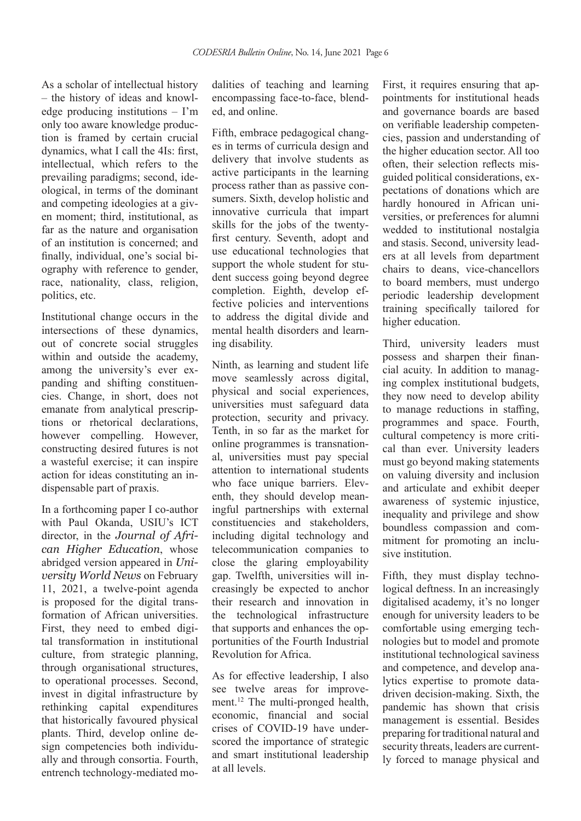As a scholar of intellectual history – the history of ideas and knowledge producing institutions – I'm only too aware knowledge production is framed by certain crucial dynamics, what I call the 4Is: first, intellectual, which refers to the prevailing paradigms; second, ideological, in terms of the dominant and competing ideologies at a given moment; third, institutional, as far as the nature and organisation of an institution is concerned; and finally, individual, one's social biography with reference to gender, race, nationality, class, religion, politics, etc.

Institutional change occurs in the intersections of these dynamics, out of concrete social struggles within and outside the academy, among the university's ever expanding and shifting constituencies. Change, in short, does not emanate from analytical prescriptions or rhetorical declarations, however compelling. However, constructing desired futures is not a wasteful exercise; it can inspire action for ideas constituting an indispensable part of praxis.

In a forthcoming paper I co-author with Paul Okanda, USIU's ICT director, in the *Journal of African Higher Education*, whose abridged version appeared in *University World News* on February 11, 2021, a twelve-point agenda is proposed for the digital transformation of African universities. First, they need to embed digital transformation in institutional culture, from strategic planning, through organisational structures, to operational processes. Second, invest in digital infrastructure by rethinking capital expenditures that historically favoured physical plants. Third, develop online design competencies both individually and through consortia. Fourth, entrench technology-mediated modalities of teaching and learning encompassing face-to-face, blended, and online.

Fifth, embrace pedagogical changes in terms of curricula design and delivery that involve students as active participants in the learning process rather than as passive consumers. Sixth, develop holistic and innovative curricula that impart skills for the jobs of the twentyfirst century. Seventh, adopt and use educational technologies that support the whole student for student success going beyond degree completion. Eighth, develop effective policies and interventions to address the digital divide and mental health disorders and learning disability.

Ninth, as learning and student life move seamlessly across digital, physical and social experiences, universities must safeguard data protection, security and privacy. Tenth, in so far as the market for online programmes is transnational, universities must pay special attention to international students who face unique barriers. Eleventh, they should develop meaningful partnerships with external constituencies and stakeholders, including digital technology and telecommunication companies to close the glaring employability gap. Twelfth, universities will increasingly be expected to anchor their research and innovation in the technological infrastructure that supports and enhances the opportunities of the Fourth Industrial Revolution for Africa.

As for effective leadership, I also see twelve areas for improvement.<sup>12</sup> The multi-pronged health, economic, financial and social crises of COVID-19 have underscored the importance of strategic and smart institutional leadership at all levels.

First, it requires ensuring that appointments for institutional heads and governance boards are based on verifiable leadership competencies, passion and understanding of the higher education sector. All too often, their selection reflects misguided political considerations, expectations of donations which are hardly honoured in African universities, or preferences for alumni wedded to institutional nostalgia and stasis. Second, university leaders at all levels from department chairs to deans, vice-chancellors to board members, must undergo periodic leadership development training specifically tailored for higher education.

Third, university leaders must possess and sharpen their financial acuity. In addition to managing complex institutional budgets, they now need to develop ability to manage reductions in staffing, programmes and space. Fourth, cultural competency is more critical than ever. University leaders must go beyond making statements on valuing diversity and inclusion and articulate and exhibit deeper awareness of systemic injustice, inequality and privilege and show boundless compassion and commitment for promoting an inclusive institution.

Fifth, they must display technological deftness. In an increasingly digitalised academy, it's no longer enough for university leaders to be comfortable using emerging technologies but to model and promote institutional technological saviness and competence, and develop analytics expertise to promote datadriven decision-making. Sixth, the pandemic has shown that crisis management is essential. Besides preparing for traditional natural and security threats, leaders are currently forced to manage physical and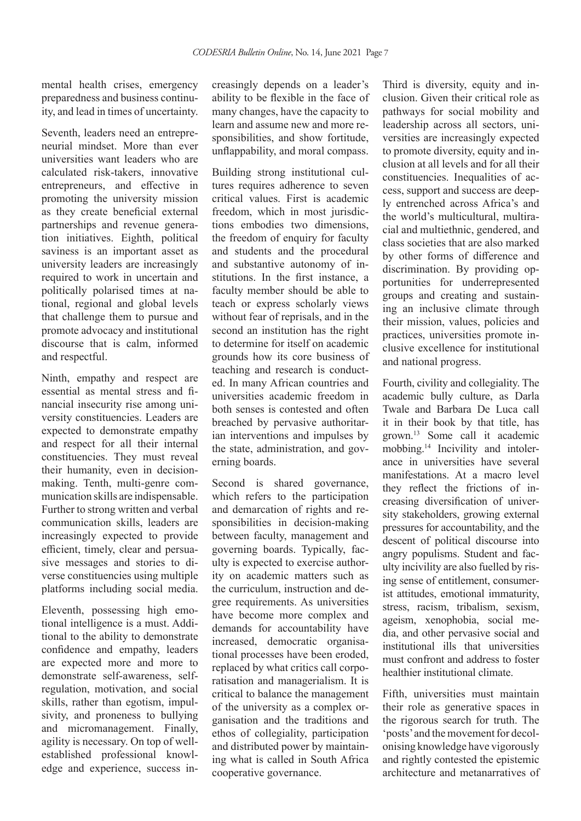mental health crises, emergency preparedness and business continuity, and lead in times of uncertainty.

Seventh, leaders need an entrepreneurial mindset. More than ever universities want leaders who are calculated risk-takers, innovative entrepreneurs, and effective in promoting the university mission as they create beneficial external partnerships and revenue generation initiatives. Eighth, political saviness is an important asset as university leaders are increasingly required to work in uncertain and politically polarised times at national, regional and global levels that challenge them to pursue and promote advocacy and institutional discourse that is calm, informed and respectful.

Ninth, empathy and respect are essential as mental stress and financial insecurity rise among university constituencies. Leaders are expected to demonstrate empathy and respect for all their internal constituencies. They must reveal their humanity, even in decisionmaking. Tenth, multi-genre communication skills are indispensable. Further to strong written and verbal communication skills, leaders are increasingly expected to provide efficient, timely, clear and persuasive messages and stories to diverse constituencies using multiple platforms including social media.

Eleventh, possessing high emotional intelligence is a must. Additional to the ability to demonstrate confidence and empathy, leaders are expected more and more to demonstrate self-awareness, selfregulation, motivation, and social skills, rather than egotism, impulsivity, and proneness to bullying and micromanagement. Finally, agility is necessary. On top of wellestablished professional knowledge and experience, success increasingly depends on a leader's ability to be flexible in the face of many changes, have the capacity to learn and assume new and more responsibilities, and show fortitude, unflappability, and moral compass.

Building strong institutional cultures requires adherence to seven critical values. First is academic freedom, which in most jurisdictions embodies two dimensions, the freedom of enquiry for faculty and students and the procedural and substantive autonomy of institutions. In the first instance, a faculty member should be able to teach or express scholarly views without fear of reprisals, and in the second an institution has the right to determine for itself on academic grounds how its core business of teaching and research is conducted. In many African countries and universities academic freedom in both senses is contested and often breached by pervasive authoritarian interventions and impulses by the state, administration, and governing boards.

Second is shared governance, which refers to the participation and demarcation of rights and responsibilities in decision-making between faculty, management and governing boards. Typically, faculty is expected to exercise authority on academic matters such as the curriculum, instruction and degree requirements. As universities have become more complex and demands for accountability have increased, democratic organisational processes have been eroded, replaced by what critics call corporatisation and managerialism. It is critical to balance the management of the university as a complex organisation and the traditions and ethos of collegiality, participation and distributed power by maintaining what is called in South Africa cooperative governance.

Third is diversity, equity and inclusion. Given their critical role as pathways for social mobility and leadership across all sectors, universities are increasingly expected to promote diversity, equity and inclusion at all levels and for all their constituencies. Inequalities of access, support and success are deeply entrenched across Africa's and the world's multicultural, multiracial and multiethnic, gendered, and class societies that are also marked by other forms of difference and discrimination. By providing opportunities for underrepresented groups and creating and sustaining an inclusive climate through their mission, values, policies and practices, universities promote inclusive excellence for institutional and national progress.

Fourth, civility and collegiality. The academic bully culture, as Darla Twale and Barbara De Luca call it in their book by that title, has grown.13 Some call it academic mobbing.14 Incivility and intolerance in universities have several manifestations. At a macro level they reflect the frictions of increasing diversification of university stakeholders, growing external pressures for accountability, and the descent of political discourse into angry populisms. Student and faculty incivility are also fuelled by rising sense of entitlement, consumerist attitudes, emotional immaturity, stress, racism, tribalism, sexism, ageism, xenophobia, social media, and other pervasive social and institutional ills that universities must confront and address to foster healthier institutional climate.

Fifth, universities must maintain their role as generative spaces in the rigorous search for truth. The 'posts' and the movement for decolonising knowledge have vigorously and rightly contested the epistemic architecture and metanarratives of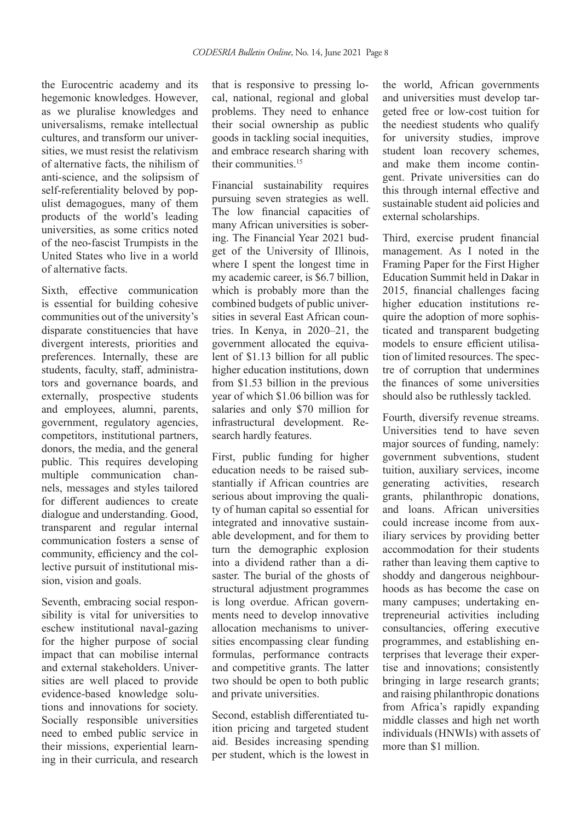the Eurocentric academy and its hegemonic knowledges. However, as we pluralise knowledges and universalisms, remake intellectual cultures, and transform our universities, we must resist the relativism of alternative facts, the nihilism of anti-science, and the solipsism of self-referentiality beloved by populist demagogues, many of them products of the world's leading universities, as some critics noted of the neo-fascist Trumpists in the United States who live in a world of alternative facts.

Sixth, effective communication is essential for building cohesive communities out of the university's disparate constituencies that have divergent interests, priorities and preferences. Internally, these are students, faculty, staff, administrators and governance boards, and externally, prospective students and employees, alumni, parents, government, regulatory agencies, competitors, institutional partners, donors, the media, and the general public. This requires developing multiple communication channels, messages and styles tailored for different audiences to create dialogue and understanding. Good, transparent and regular internal communication fosters a sense of community, efficiency and the collective pursuit of institutional mission, vision and goals.

Seventh, embracing social responsibility is vital for universities to eschew institutional naval-gazing for the higher purpose of social impact that can mobilise internal and external stakeholders. Universities are well placed to provide evidence-based knowledge solutions and innovations for society. Socially responsible universities need to embed public service in their missions, experiential learning in their curricula, and research that is responsive to pressing local, national, regional and global problems. They need to enhance their social ownership as public goods in tackling social inequities, and embrace research sharing with their communities.15

Financial sustainability requires pursuing seven strategies as well. The low financial capacities of many African universities is sobering. The Financial Year 2021 budget of the University of Illinois, where I spent the longest time in my academic career, is \$6.7 billion, which is probably more than the combined budgets of public universities in several East African countries. In Kenya, in 2020–21, the government allocated the equivalent of \$1.13 billion for all public higher education institutions, down from \$1.53 billion in the previous year of which \$1.06 billion was for salaries and only \$70 million for infrastructural development. Research hardly features.

First, public funding for higher education needs to be raised substantially if African countries are serious about improving the quality of human capital so essential for integrated and innovative sustainable development, and for them to turn the demographic explosion into a dividend rather than a disaster. The burial of the ghosts of structural adjustment programmes is long overdue. African governments need to develop innovative allocation mechanisms to universities encompassing clear funding formulas, performance contracts and competitive grants. The latter two should be open to both public and private universities.

Second, establish differentiated tuition pricing and targeted student aid. Besides increasing spending per student, which is the lowest in the world, African governments and universities must develop targeted free or low-cost tuition for the neediest students who qualify for university studies, improve student loan recovery schemes, and make them income contingent. Private universities can do this through internal effective and sustainable student aid policies and external scholarships.

Third, exercise prudent financial management. As I noted in the Framing Paper for the First Higher Education Summit held in Dakar in 2015, financial challenges facing higher education institutions require the adoption of more sophisticated and transparent budgeting models to ensure efficient utilisation of limited resources. The spectre of corruption that undermines the finances of some universities should also be ruthlessly tackled.

Fourth, diversify revenue streams. Universities tend to have seven major sources of funding, namely: government subventions, student tuition, auxiliary services, income generating activities, research grants, philanthropic donations, and loans. African universities could increase income from auxiliary services by providing better accommodation for their students rather than leaving them captive to shoddy and dangerous neighbourhoods as has become the case on many campuses; undertaking entrepreneurial activities including consultancies, offering executive programmes, and establishing enterprises that leverage their expertise and innovations; consistently bringing in large research grants; and raising philanthropic donations from Africa's rapidly expanding middle classes and high net worth individuals (HNWIs) with assets of more than \$1 million.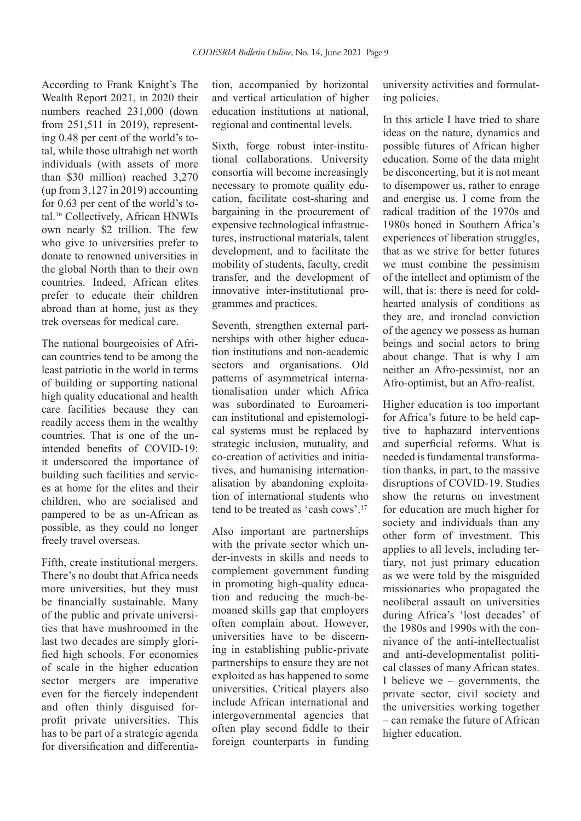According to Frank Knight's The Wealth Report 2021, in 2020 their numbers reached 231,000 (down from 251,511 in 2019), representing 0.48 per cent of the world's total, while those ultrahigh net worth individuals (with assets of more than \$30 million) reached 3,270 (up from 3,127 in 2019) accounting for 0.63 per cent of the world's total.16 Collectively, African HNWIs own nearly \$2 trillion. The few who give to universities prefer to donate to renowned universities in the global North than to their own countries. Indeed, African elites prefer to educate their children abroad than at home, just as they trek overseas for medical care.

The national bourgeoisies of African countries tend to be among the least patriotic in the world in terms of building or supporting national high quality educational and health care facilities because they can readily access them in the wealthy countries. That is one of the unintended benefits of COVID-19: it underscored the importance of building such facilities and services at home for the elites and their children, who are socialised and pampered to be as un-African as possible, as they could no longer freely travel overseas.

Fifth, create institutional mergers. There's no doubt that Africa needs more universities, but they must be financially sustainable. Many of the public and private universities that have mushroomed in the last two decades are simply glorified high schools. For economies of scale in the higher education sector mergers are imperative even for the fiercely independent and often thinly disguised forprofit private universities. This has to be part of a strategic agenda for diversification and differentia-

tion, accompanied by horizontal and vertical articulation of higher education institutions at national, regional and continental levels.

Sixth, forge robust inter-institutional collaborations. University consortia will become increasingly necessary to promote quality education, facilitate cost-sharing and bargaining in the procurement of expensive technological infrastructures, instructional materials, talent development, and to facilitate the mobility of students, faculty, credit transfer, and the development of innovative inter-institutional programmes and practices.

Seventh, strengthen external partnerships with other higher education institutions and non-academic sectors and organisations. Old patterns of asymmetrical internationalisation under which Africa was subordinated to Euroamerican institutional and epistemological systems must be replaced by strategic inclusion, mutuality, and co-creation of activities and initiatives, and humanising internationalisation by abandoning exploitation of international students who tend to be treated as 'cash cows'.17

Also important are partnerships with the private sector which under-invests in skills and needs to complement government funding in promoting high-quality education and reducing the much-bemoaned skills gap that employers often complain about. However, universities have to be discerning in establishing public-private partnerships to ensure they are not exploited as has happened to some universities. Critical players also include African international and intergovernmental agencies that often play second fiddle to their foreign counterparts in funding university activities and formulating policies.

In this article I have tried to share ideas on the nature, dynamics and possible futures of African higher education. Some of the data might be disconcerting, but it is not meant to disempower us, rather to enrage and energise us. I come from the radical tradition of the 1970s and 1980s honed in Southern Africa's experiences of liberation struggles, that as we strive for better futures we must combine the pessimism of the intellect and optimism of the will, that is: there is need for coldhearted analysis of conditions as they are, and ironclad conviction of the agency we possess as human beings and social actors to bring about change. That is why I am neither an Afro-pessimist, nor an Afro-optimist, but an Afro-realist.

Higher education is too important for Africa's future to be held captive to haphazard interventions and superficial reforms. What is needed is fundamental transformation thanks, in part, to the massive disruptions of COVID-19. Studies show the returns on investment for education are much higher for society and individuals than any other form of investment. This applies to all levels, including tertiary, not just primary education as we were told by the misguided missionaries who propagated the neoliberal assault on universities during Africa's 'lost decades' of the 1980s and 1990s with the connivance of the anti-intellectualist and anti-developmentalist political classes of many African states. I believe we – governments, the private sector, civil society and the universities working together – can remake the future of African higher education.